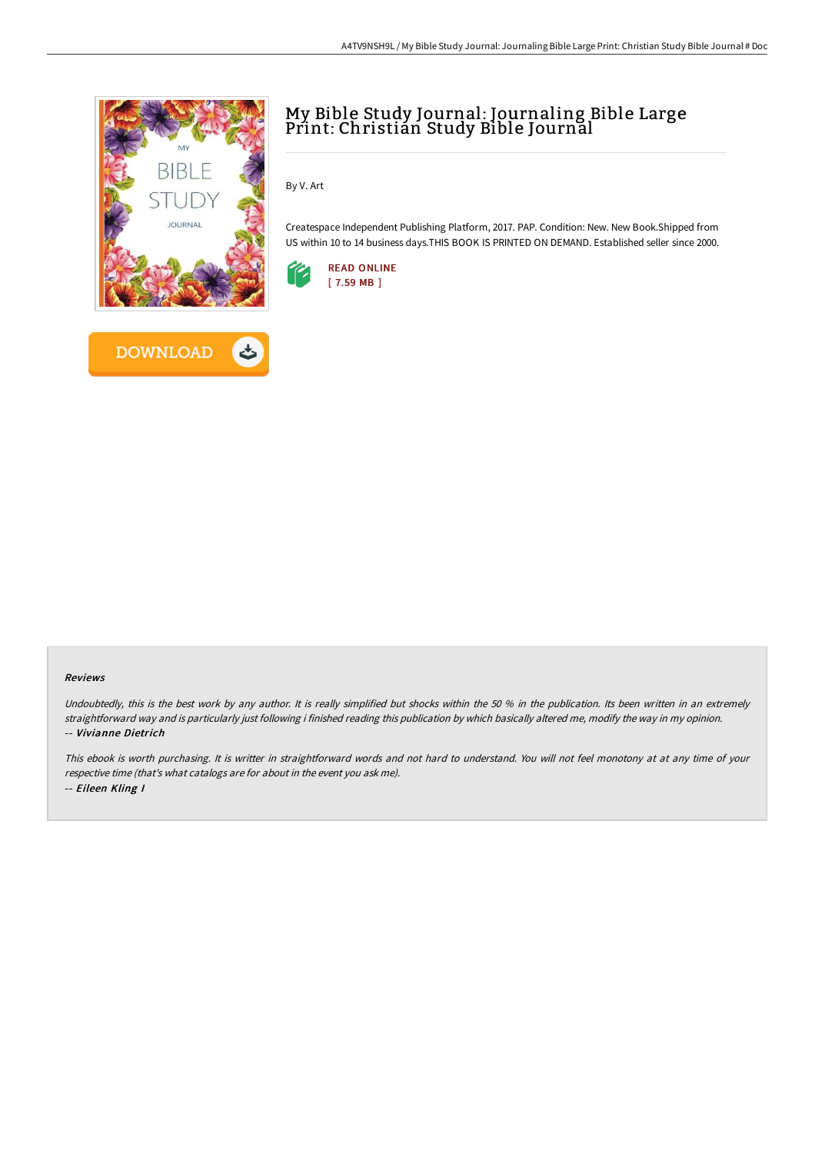

## My Bible Study Journal: Journaling Bible Large Print: Christian Study Bible Journal

By V. Art

Createspace Independent Publishing Platform, 2017. PAP. Condition: New. New Book.Shipped from US within 10 to 14 business days.THIS BOOK IS PRINTED ON DEMAND. Established seller since 2000.



## Reviews

Undoubtedly, this is the best work by any author. It is really simplified but shocks within the 50 % in the publication. Its been written in an extremely straightforward way and is particularly just following i finished reading this publication by which basically altered me, modify the way in my opinion. -- Vivianne Dietrich

This ebook is worth purchasing. It is writter in straightforward words and not hard to understand. You will not feel monotony at at any time of your respective time (that's what catalogs are for about in the event you ask me). -- Eileen Kling I